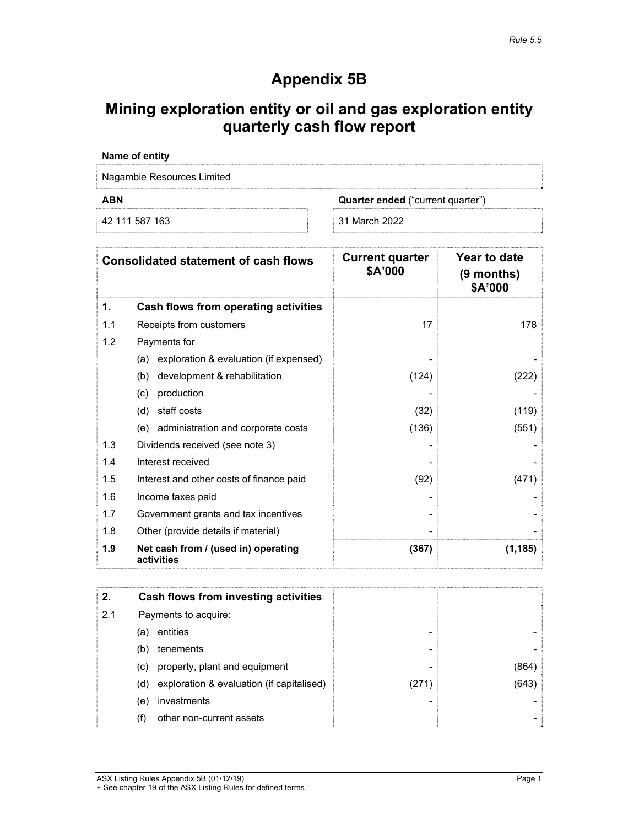# **Appendix 5B**

## **Mining exploration entity or oil and gas exploration entity quarterly cash flow report**

| Name of entity             |                                          |  |
|----------------------------|------------------------------------------|--|
| Nagambie Resources Limited |                                          |  |
| <b>ABN</b>                 | <b>Quarter ended</b> ("current quarter") |  |
| 42 111 587 163             | 31 March 2022                            |  |

|     | <b>Consolidated statement of cash flows</b>       | <b>Current quarter</b><br>\$A'000 | Year to date<br>(9 months)<br>\$A'000 |
|-----|---------------------------------------------------|-----------------------------------|---------------------------------------|
| 1.  | Cash flows from operating activities              |                                   |                                       |
| 1.1 | Receipts from customers                           | 17                                | 178                                   |
| 1.2 | Payments for                                      |                                   |                                       |
|     | (a) exploration & evaluation (if expensed)        |                                   |                                       |
|     | development & rehabilitation<br>(b)               | (124)                             | (222)                                 |
|     | production<br>(c)                                 |                                   |                                       |
|     | (d)<br>staff costs                                | (32)                              | (119)                                 |
|     | (e) administration and corporate costs            | (136)                             | (551)                                 |
| 1.3 | Dividends received (see note 3)                   |                                   |                                       |
| 1.4 | Interest received                                 |                                   |                                       |
| 1.5 | Interest and other costs of finance paid          | (92)                              | (471)                                 |
| 1.6 | Income taxes paid                                 |                                   |                                       |
| 1.7 | Government grants and tax incentives              |                                   |                                       |
| 1.8 | Other (provide details if material)               |                                   |                                       |
| 1.9 | Net cash from / (used in) operating<br>activities | (367)                             | (1, 185)                              |

| 2.  |     | Cash flows from investing activities      |       |       |
|-----|-----|-------------------------------------------|-------|-------|
| 2.1 |     | Payments to acquire:                      |       |       |
|     | (a) | entities                                  | -     |       |
|     | (b) | tenements                                 | -     |       |
|     | (C) | property, plant and equipment             | -     | (864) |
|     | (d) | exploration & evaluation (if capitalised) | (271) | (643) |
|     | (e) | investments                               |       |       |
|     | (f) | other non-current assets                  |       |       |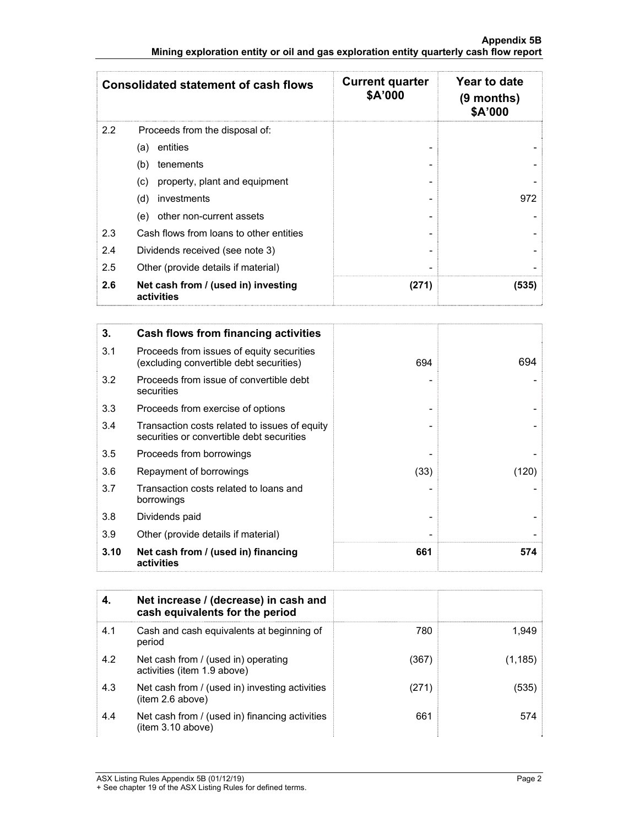|     | <b>Consolidated statement of cash flows</b>       | <b>Current quarter</b><br>\$A'000 | Year to date<br>$(9$ months)<br>\$A'000 |
|-----|---------------------------------------------------|-----------------------------------|-----------------------------------------|
| 2.2 | Proceeds from the disposal of:                    |                                   |                                         |
|     | entities<br>(a)                                   |                                   |                                         |
|     | tenements<br>(b)                                  |                                   |                                         |
|     | property, plant and equipment<br>(c)              |                                   |                                         |
|     | (d)<br>investments                                |                                   | 972                                     |
|     | other non-current assets<br>(e)                   |                                   |                                         |
| 2.3 | Cash flows from loans to other entities           |                                   |                                         |
| 2.4 | Dividends received (see note 3)                   |                                   |                                         |
| 2.5 | Other (provide details if material)               |                                   |                                         |
| 2.6 | Net cash from / (used in) investing<br>activities | (271)                             | (535)                                   |

| 3.   | Cash flows from financing activities                                                       |      |       |
|------|--------------------------------------------------------------------------------------------|------|-------|
| 3.1  | Proceeds from issues of equity securities<br>(excluding convertible debt securities)       | 694  | 694   |
| 3.2  | Proceeds from issue of convertible debt<br>securities                                      |      |       |
| 3.3  | Proceeds from exercise of options                                                          |      |       |
| 3.4  | Transaction costs related to issues of equity<br>securities or convertible debt securities |      |       |
| 3.5  | Proceeds from borrowings                                                                   |      |       |
| 3.6  | Repayment of borrowings                                                                    | (33) | (120) |
| 3.7  | Transaction costs related to loans and<br>borrowings                                       |      |       |
| 3.8  | Dividends paid                                                                             |      |       |
| 3.9  | Other (provide details if material)                                                        |      |       |
| 3.10 | Net cash from / (used in) financing<br>activities                                          | 661  | 574   |

| 4.  | Net increase / (decrease) in cash and<br>cash equivalents for the period |       |          |
|-----|--------------------------------------------------------------------------|-------|----------|
| 4.1 | Cash and cash equivalents at beginning of<br>period                      | 780   | 1,949    |
| 4.2 | Net cash from / (used in) operating<br>activities (item 1.9 above)       | (367) | (1, 185) |
| 4.3 | Net cash from / (used in) investing activities<br>(item 2.6 above)       | (271) | (535)    |
| 4.4 | Net cash from / (used in) financing activities<br>item 3.10 above)       | 661   | 574      |

<sup>+</sup> See chapter 19 of the ASX Listing Rules for defined terms.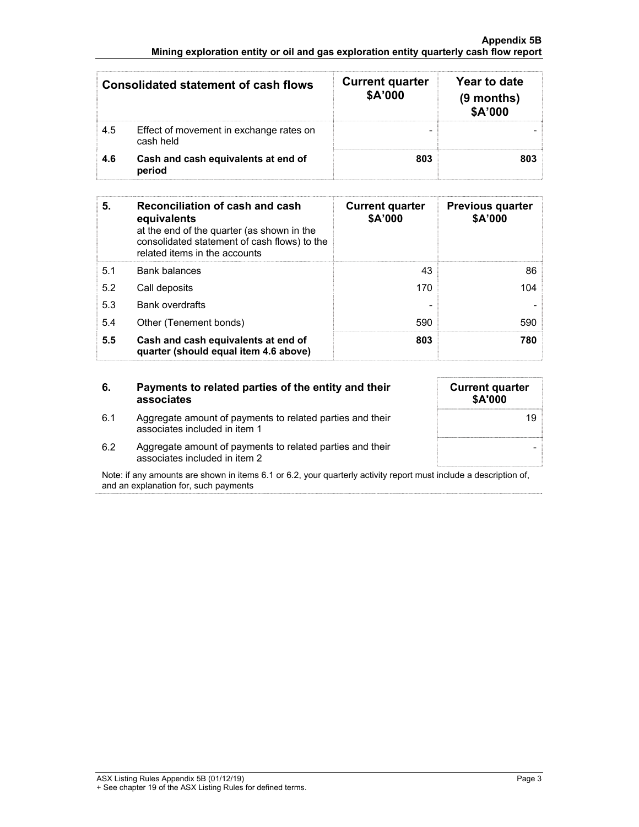#### **Appendix 5B Mining exploration entity or oil and gas exploration entity quarterly cash flow report**

|     | Consolidated statement of cash flows                 | <b>Current quarter</b><br>\$A'000 | Year to date<br>$(9$ months)<br>\$A'000 |
|-----|------------------------------------------------------|-----------------------------------|-----------------------------------------|
| 4.5 | Effect of movement in exchange rates on<br>cash held |                                   |                                         |
| 4.6 | Cash and cash equivalents at end of<br>period        | 803                               | 803                                     |

| 5.  | Reconciliation of cash and cash<br>equivalents<br>at the end of the quarter (as shown in the<br>consolidated statement of cash flows) to the<br>related items in the accounts | <b>Current quarter</b><br>\$A'000 | <b>Previous quarter</b><br>\$A'000 |
|-----|-------------------------------------------------------------------------------------------------------------------------------------------------------------------------------|-----------------------------------|------------------------------------|
| 5.1 | <b>Bank balances</b>                                                                                                                                                          | 43                                | 86                                 |
| 5.2 | Call deposits                                                                                                                                                                 | 170                               | 104                                |
| 5.3 | <b>Bank overdrafts</b>                                                                                                                                                        |                                   |                                    |
| 5.4 | Other (Tenement bonds)                                                                                                                                                        | 590                               | 590                                |
| 5.5 | Cash and cash equivalents at end of<br>quarter (should equal item 4.6 above)                                                                                                  | 803                               | 780                                |

### **6. Payments to related parties of the entity and their associates**

6.1 Aggregate amount of payments to related parties and their associates included in item 1

| <b>Current quarter</b><br>\$A'000 |  |
|-----------------------------------|--|
| 19                                |  |
|                                   |  |

6.2 Aggregate amount of payments to related parties and their associates included in item 2

Note: if any amounts are shown in items 6.1 or 6.2, your quarterly activity report must include a description of, and an explanation for, such payments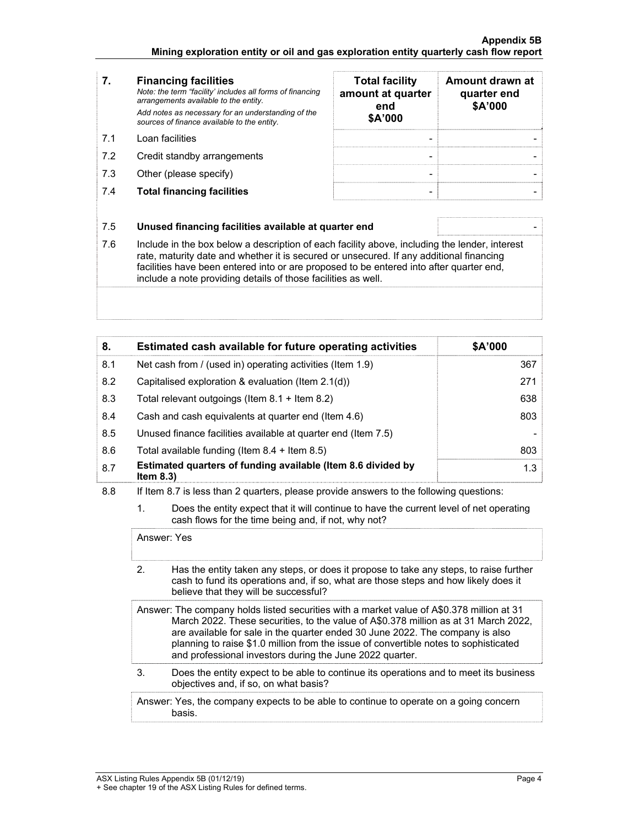| 7.  | <b>Financing facilities</b><br>Note: the term "facility' includes all forms of financing<br>arrangements available to the entity.<br>Add notes as necessary for an understanding of the<br>sources of finance available to the entity. | <b>Total facility</b><br>amount at quarter<br>end<br>\$A'000 | Amount drawn at<br>quarter end<br>\$A'000 |
|-----|----------------------------------------------------------------------------------------------------------------------------------------------------------------------------------------------------------------------------------------|--------------------------------------------------------------|-------------------------------------------|
| 71  | Loan facilities                                                                                                                                                                                                                        | ۰                                                            |                                           |
| 7.2 | Credit standby arrangements                                                                                                                                                                                                            | -                                                            |                                           |
| 7.3 | Other (please specify)                                                                                                                                                                                                                 | -                                                            |                                           |
|     | <b>Total financing facilities</b>                                                                                                                                                                                                      |                                                              |                                           |

| 7.  | <b>Financing facilities</b><br>Note: the term "facility' includes all forms of financing<br>arrangements available to the entity.<br>Add notes as necessary for an understanding of the<br>sources of finance available to the entity. | <b>Total facility</b><br>amount at quarter<br>end<br>\$A'000 | Amount drawn at<br>quarter end<br>\$A'000 |
|-----|----------------------------------------------------------------------------------------------------------------------------------------------------------------------------------------------------------------------------------------|--------------------------------------------------------------|-------------------------------------------|
| 71  | Loan facilities                                                                                                                                                                                                                        |                                                              |                                           |
| 7.2 | Credit standby arrangements                                                                                                                                                                                                            |                                                              |                                           |
| 7.3 | Other (please specify)                                                                                                                                                                                                                 |                                                              |                                           |
| 7.4 | <b>Total financing facilities</b>                                                                                                                                                                                                      |                                                              |                                           |

| 7.5 | Unused financing facilities available at quarter end |  |
|-----|------------------------------------------------------|--|
|-----|------------------------------------------------------|--|

7.6 Include in the box below a description of each facility above, including the lender, interest rate, maturity date and whether it is secured or unsecured. If any additional financing facilities have been entered into or are proposed to be entered into after quarter end, include a note providing details of those facilities as well.

| 8.  | Estimated cash available for future operating activities                     | \$A'000 |
|-----|------------------------------------------------------------------------------|---------|
| 8.1 | Net cash from / (used in) operating activities (Item 1.9)                    | 367     |
| 8.2 | Capitalised exploration & evaluation (Item $2.1(d)$ )                        | 271     |
| 8.3 | Total relevant outgoings (Item $8.1$ + Item $8.2$ )                          | 638     |
| 8.4 | Cash and cash equivalents at quarter end (Item 4.6)                          | 803     |
| 8.5 | Unused finance facilities available at quarter end (Item 7.5)                |         |
| 8.6 | Total available funding (Item $8.4 +$ Item $8.5$ )                           | 803     |
| 8.7 | Estimated quarters of funding available (Item 8.6 divided by<br>Item $8.3$ ) | 1.3     |

- 8.8 If Item 8.7 is less than 2 quarters, please provide answers to the following questions:
	- 1. Does the entity expect that it will continue to have the current level of net operating cash flows for the time being and, if not, why not?

Answer: Yes

- 2. Has the entity taken any steps, or does it propose to take any steps, to raise further cash to fund its operations and, if so, what are those steps and how likely does it believe that they will be successful?
- Answer: The company holds listed securities with a market value of A\$0.378 million at 31 March 2022. These securities, to the value of A\$0.378 million as at 31 March 2022, are available for sale in the quarter ended 30 June 2022. The company is also planning to raise \$1.0 million from the issue of convertible notes to sophisticated and professional investors during the June 2022 quarter.
- 3. Does the entity expect to be able to continue its operations and to meet its business objectives and, if so, on what basis?

 Answer: Yes, the company expects to be able to continue to operate on a going concern basis.